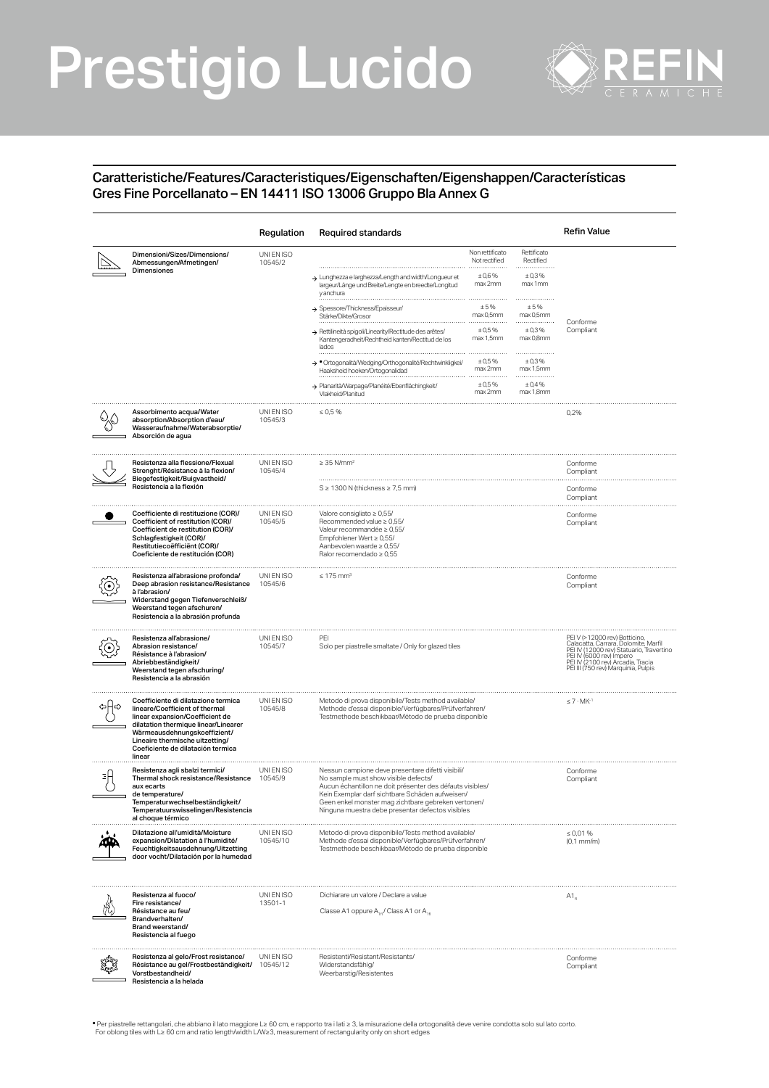# Prestigio Lucido



### Caratteristiche/Features/Caracteristiques/Eigenschaften/Eigenshappen/Características Gres Fine Porcellanato – EN 14411 ISO 13006 Gruppo Bla Annex G

|                                                                                                                                                                                                                                                                    | Regulation             | <b>Required standards</b>                                                                                                                                                                                                                                                                                            |                                                      |                                                   | <b>Refin Value</b>                                                                                                                                                                                                        |  |
|--------------------------------------------------------------------------------------------------------------------------------------------------------------------------------------------------------------------------------------------------------------------|------------------------|----------------------------------------------------------------------------------------------------------------------------------------------------------------------------------------------------------------------------------------------------------------------------------------------------------------------|------------------------------------------------------|---------------------------------------------------|---------------------------------------------------------------------------------------------------------------------------------------------------------------------------------------------------------------------------|--|
| Dimensioni/Sizes/Dimensions/<br>Abmessungen/Afmetingen/<br>Dimensiones                                                                                                                                                                                             | UNI EN ISO<br>10545/2  | > Lunghezza e larghezza/Length and width/Longueur et<br>largeur/Länge und Breite/Lengte en breedte/Longitud                                                                                                                                                                                                          | Non rettificato<br>Not rectified<br>±0,6%<br>max 2mm | Rettificato<br>Rectified<br>.<br>±0,3%<br>max 1mm |                                                                                                                                                                                                                           |  |
|                                                                                                                                                                                                                                                                    |                        | y anchura<br>→ Spessore/Thickness/Epaisseur/<br>Stärke/Dikte/Grosor                                                                                                                                                                                                                                                  | ±5%<br>max 0,5mm                                     | .<br>±5%<br>max 0.5mm                             |                                                                                                                                                                                                                           |  |
|                                                                                                                                                                                                                                                                    |                        | > Rettilineità spigoli/Linearity/Rectitude des arêtes/<br>Kantengeradheit/Rechtheid kanten/Rectitud de los<br>lados                                                                                                                                                                                                  | ±0,5%<br>max 1,5mm                                   | ±0,3%<br>max 0,8mm                                | Conforme<br>Compliant                                                                                                                                                                                                     |  |
|                                                                                                                                                                                                                                                                    |                        | > · Ortogonalità/Wedging/Orthogonalité/Rechtwinkligkei/<br>Haaksheid hoeken/Ortogonalidad                                                                                                                                                                                                                            | ±0,5%<br>max 2mm                                     | ±0,3%<br>max 1.5mm                                |                                                                                                                                                                                                                           |  |
|                                                                                                                                                                                                                                                                    |                        | > Planarità/Warpage/Planéité/Ebenflächingkeit/<br>Vlakheid/Planitud                                                                                                                                                                                                                                                  | ± 0.5%<br>max 2mm                                    | ±0,4%<br>max 1,8mm                                |                                                                                                                                                                                                                           |  |
| Assorbimento acqua/Water<br>absorption/Absorption d'eau/<br>Wasseraufnahme/Waterabsorptie/<br>Absorción de agua                                                                                                                                                    | UNI EN ISO<br>10545/3  | $\leq 0.5 \%$                                                                                                                                                                                                                                                                                                        |                                                      |                                                   | 0,2%                                                                                                                                                                                                                      |  |
| Resistenza alla flessione/Flexual<br>Strenght/Résistance à la flexion/<br>Biegefestigkeit/Buigvastheid/<br>Resistencia a la flexión                                                                                                                                | UNI EN ISO<br>10545/4  | $\geq 35$ N/mm $^2$                                                                                                                                                                                                                                                                                                  |                                                      |                                                   | Conforme<br>Compliant                                                                                                                                                                                                     |  |
|                                                                                                                                                                                                                                                                    |                        | S ≥ 1300 N (thickness ≥ 7,5 mm)                                                                                                                                                                                                                                                                                      |                                                      |                                                   | Conforme<br>Compliant                                                                                                                                                                                                     |  |
| Coefficiente di restituzione (COR)/<br>Coefficient of restitution (COR)/<br>Coefficient de restitution (COR)/<br>Schlagfestigkeit (COR)/<br>Restitutiecoëfficiënt (COR)/<br>Coeficiente de restitución (COR)                                                       | UNI EN ISO<br>10545/5  | Valore consigliato ≥ 0,55/<br>Recommended value $\geq 0.55/$<br>Valeur recommandée ≥ 0,55/<br>Empfohlener Wert $\geq 0.55/$<br>Aanbevolen waarde ≥ 0,55/<br>Ralor recomendado $\geq 0.55$                                                                                                                            |                                                      |                                                   | Conforme<br>Compliant                                                                                                                                                                                                     |  |
| Resistenza all'abrasione profonda/<br>Deep abrasion resistance/Resistance<br>à l'abrasion/<br>Widerstand gegen Tiefenverschleiß/<br>Weerstand tegen afschuren/<br>Resistencia a la abrasión profunda                                                               | UNI EN ISO<br>10545/6  | $\leq 175$ mm <sup>3</sup>                                                                                                                                                                                                                                                                                           |                                                      |                                                   | Conforme<br>Compliant                                                                                                                                                                                                     |  |
| Resistenza all'abrasione/<br>Abrasion resistance/<br>Résistance à l'abrasion/<br>Abriebbeständigkeit/<br>Weerstand tegen afschuring/<br>Resistencia a la abrasión                                                                                                  | UNI EN ISO<br>10545/7  | PEI<br>Solo per piastrelle smaltate / Only for glazed tiles                                                                                                                                                                                                                                                          |                                                      |                                                   | PEI V (>12000 rev) Botticino,<br>Calacatta, Carrara, Dolomite, Marfil<br>PEI IV (12000 rev) Statuario, Travertino<br>PEI IV (6000 rev) Impero<br>PEI IV (2100 rev) Arcadia, Tracia<br>PEI III (750 rev) Marquinia, Pulpis |  |
| Coefficiente di dilatazione termica<br>lineare/Coefficient of thermal<br>linear expansion/Coefficient de<br>dilatation thermique linear/Linearer<br>Wärmeausdehnungskoeffizient/<br>Lineaire thermische uitzetting/<br>Coeficiente de dilatación termica<br>linear | UNI EN ISO<br>10545/8  | Metodo di prova disponibile/Tests method available/<br>Methode d'essai disponible/Verfügbares/Prüfverfahren/<br>Testmethode beschikbaar/Método de prueba disponible                                                                                                                                                  |                                                      | $\leq 7 \cdot MK^{-1}$                            |                                                                                                                                                                                                                           |  |
| Resistenza agli sbalzi termici/<br>Thermal shock resistance/Resistance<br>aux ecarts<br>de temperature/<br>Temperaturwechselbeständigkeit/<br>Temperatuurswisselingen/Resistencia<br>al choque térmico                                                             | UNI EN ISO<br>10545/9  | Nessun campione deve presentare difetti visibili/<br>No sample must show visible defects/<br>Aucun échantillon ne doit présenter des défauts visibles/<br>Kein Exemplar darf sichtbare Schäden aufweisen/<br>Geen enkel monster mag zichtbare gebreken vertonen/<br>Ninguna muestra debe presentar defectos visibles |                                                      |                                                   | Conforme<br>Compliant                                                                                                                                                                                                     |  |
| Dilatazione all'umidità/Moisture<br>expansion/Dilatation à l'humidité/<br>Feuchtigkeitsausdehnung/Uitzetting<br>door vocht/Dilatación por la humedad                                                                                                               | UNI EN ISO<br>10545/10 | Metodo di prova disponibile/Tests method available/<br>Methode d'essai disponible/Verfügbares/Prüfverfahren/<br>Testmethode beschikbaar/Método de prueba disponible                                                                                                                                                  |                                                      |                                                   | $\leq 0.01 \%$<br>$(0,1$ mm/m $)$                                                                                                                                                                                         |  |
| Resistenza al fuoco/<br>Fire resistance/<br>Résistance au feu/<br>Brandverhalten/<br>Brand weerstand/<br>Resistencia al fuego                                                                                                                                      | UNI EN ISO<br>13501-1  | Dichiarare un valore / Declare a value<br>Classe A1 oppure A., / Class A1 or A.,                                                                                                                                                                                                                                     |                                                      |                                                   | $A1_{n}$                                                                                                                                                                                                                  |  |
| Resistenza al gelo/Frost resistance/<br>Résistance au gel/Frostbeständigkeit/<br>Vorstbestandheid/<br>Resistencia a la helada                                                                                                                                      | UNI EN ISO<br>10545/12 | Resistenti/Resistant/Resistants/<br>Widerstandsfähig/<br>Weerbarstig/Resistentes                                                                                                                                                                                                                                     |                                                      |                                                   | Conforme<br>Compliant                                                                                                                                                                                                     |  |

.<br>• Per piastrelle rettangolari, che abbiano il lato maggiore L≥ 60 cm, e rapporto tra i lati ≥ 3, la misurazione della ortogonalità deve venire condotta solo sul lato corto<br>For oblong tiles with L≥ 60 cm and ratio length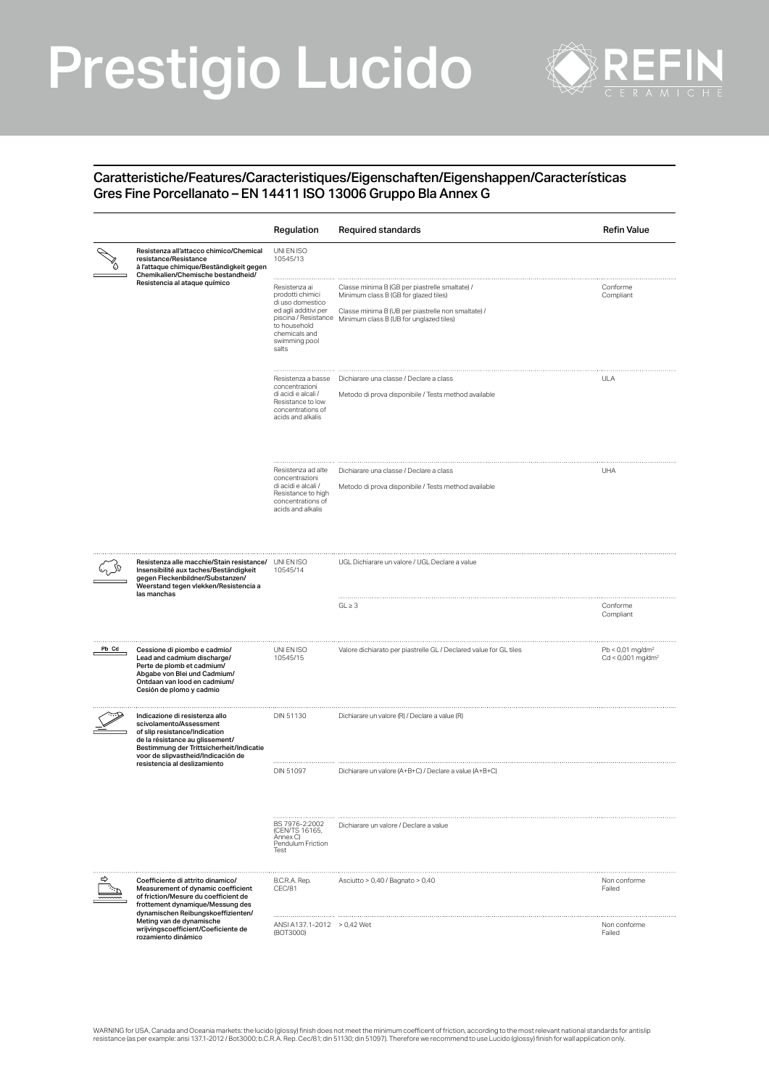# Prestigio Lucido



### Caratteristiche/Features/Caracteristiques/Eigenschaften/Eigenshappen/Características Gres Fine Porcellanato – EN 14411 ISO 13006 Gruppo Bla Annex G

|       |                                                                                                                                                                                                                 | Regulation                                                                                                                               | Required standards                                                                                                                                                                                            | <b>Refin Value</b>                                                |
|-------|-----------------------------------------------------------------------------------------------------------------------------------------------------------------------------------------------------------------|------------------------------------------------------------------------------------------------------------------------------------------|---------------------------------------------------------------------------------------------------------------------------------------------------------------------------------------------------------------|-------------------------------------------------------------------|
|       | Resistenza all'attacco chimico/Chemical<br>resistance/Resistance<br>à l'attaque chimique/Beständigkeit gegen<br>Chemikalien/Chemische bestandheid/                                                              | UNI EN ISO<br>10545/13                                                                                                                   |                                                                                                                                                                                                               |                                                                   |
|       | Resistencia al ataque químico                                                                                                                                                                                   | Resistenza ai<br>prodotti chimici<br>di uso domestico<br>ed agli additivi per<br>to household<br>chemicals and<br>swimming pool<br>salts | Classe minima B (GB per piastrelle smaltate) /<br>Minimum class B (GB for glazed tiles)<br>Classe minima B (UB per piastrelle non smaltate) /<br>piscina / Resistance Minimum class B (UB for unglazed tiles) | Conforme<br>Compliant                                             |
|       |                                                                                                                                                                                                                 | Resistenza a basse<br>concentrazioni<br>di acidi e alcali /<br>Resistance to low<br>concentrations of<br>acids and alkalis               | Dichiarare una classe / Declare a class<br>Metodo di prova disponibile / Tests method available                                                                                                               | <b>ULA</b>                                                        |
|       |                                                                                                                                                                                                                 | Resistenza ad alte<br>concentrazioni<br>di acidi e alcali /<br>Resistance to high<br>concentrations of<br>acids and alkalis              | Dichiarare una classe / Declare a class<br>Metodo di prova disponibile / Tests method available                                                                                                               | <b>UHA</b>                                                        |
|       | Resistenza alle macchie/Stain resistance/ UNIEN ISO<br>Insensibilité aux taches/Beständigkeit<br>gegen Fleckenbildner/Substanzen/<br>Weerstand tegen vlekken/Resistencia a<br>las manchas                       | 10545/14                                                                                                                                 | UGL Dichiarare un valore / UGL Declare a value                                                                                                                                                                |                                                                   |
|       |                                                                                                                                                                                                                 |                                                                                                                                          | $GL \geq 3$                                                                                                                                                                                                   | Conforme<br>Compliant                                             |
| Pb Cd | Cessione di piombo e cadmio/<br>Lead and cadmium discharge/<br>Perte de plomb et cadmium/<br>Abgabe von Blei und Cadmium/<br>Ontdaan van lood en cadmium/<br>Cesión de plomo y cadmio                           | UNI EN ISO<br>10545/15                                                                                                                   | Valore dichiarato per piastrelle GL / Declared value for GL tiles                                                                                                                                             | $Pb < 0.01$ mg/dm <sup>2</sup><br>$Cd < 0,001$ mg/dm <sup>2</sup> |
|       | Indicazione di resistenza allo<br>scivolamento/Assessment<br>of slip resistance/Indication<br>de la résistance au glissement/<br>Bestimmung der Trittsicherheit/Indicatie<br>voor de slipvastheid/Indicación de | DIN 51130                                                                                                                                | Dichiarare un valore (R) / Declare a value (R)                                                                                                                                                                |                                                                   |
|       | resistencia al deslizamiento                                                                                                                                                                                    | DIN 51097                                                                                                                                | Dichiarare un valore (A+B+C) / Declare a value (A+B+C)                                                                                                                                                        |                                                                   |
|       |                                                                                                                                                                                                                 | BS 7976-2:2002<br>(CEN/TS 16165,<br>Annex C)<br>Pendulum Friction<br>Test                                                                | Dichiarare un valore / Declare a value                                                                                                                                                                        |                                                                   |
|       | Coefficiente di attrito dinamico/<br>Measurement of dynamic coefficient<br>of friction/Mesure du coefficient de<br>frottement dynamique/Messung des<br>dynamischen Reibungskoeffizienten/                       | B.C.R.A. Rep.<br>CEC/81                                                                                                                  | Asciutto > 0,40 / Bagnato > 0,40                                                                                                                                                                              | Non conforme<br>Failed                                            |
|       | Meting van de dynamische<br>wrijvingscoefficient/Coeficiente de<br>rozamiento dinámico                                                                                                                          | ANSI A137.1-2012 > 0,42 Wet<br>(BOT3000)                                                                                                 |                                                                                                                                                                                                               | Non conforme<br>Failed                                            |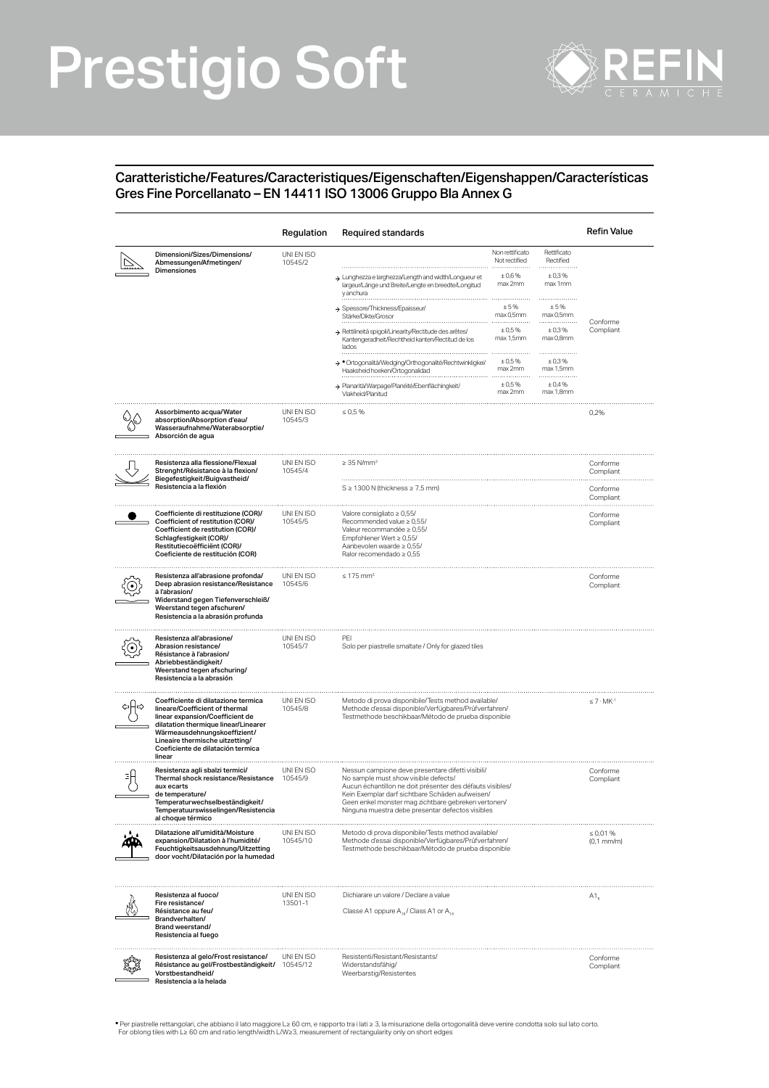# Prestigio Soft



### Caratteristiche/Features/Caracteristiques/Eigenschaften/Eigenshappen/Características Gres Fine Porcellanato – EN 14411 ISO 13006 Gruppo Bla Annex G

|                                                                                                                                                                                                                                                                    | Regulation             | Required standards                                                                                                                                                                                                                                                                                                   |                                  |                                    | <b>Refin Value</b>     |
|--------------------------------------------------------------------------------------------------------------------------------------------------------------------------------------------------------------------------------------------------------------------|------------------------|----------------------------------------------------------------------------------------------------------------------------------------------------------------------------------------------------------------------------------------------------------------------------------------------------------------------|----------------------------------|------------------------------------|------------------------|
| Dimensioni/Sizes/Dimensions/<br>Abmessungen/Afmetingen/<br><b>Dimensiones</b>                                                                                                                                                                                      | UNI EN ISO<br>10545/2  |                                                                                                                                                                                                                                                                                                                      | Non rettificato<br>Not rectified | Rettificato<br>Rectified<br>± 0.3% |                        |
|                                                                                                                                                                                                                                                                    |                        | > Lunghezza e larghezza/Length and width/Longueur et<br>largeur/Länge und Breite/Lengte en breedte/Longitud<br>y anchura                                                                                                                                                                                             | ±0,6%<br>max 2mm                 | max 1mm                            |                        |
|                                                                                                                                                                                                                                                                    |                        | > Spessore/Thickness/Epaisseur/<br>Stärke/Dikte/Grosor                                                                                                                                                                                                                                                               | $\pm$ 5 %<br>max 0,5mm           | ±5%<br>max 0,5mm                   | Conforme               |
|                                                                                                                                                                                                                                                                    |                        | > Rettilineità spigoli/Linearity/Rectitude des arêtes/<br>Kantengeradheit/Rechtheid kanten/Rectitud de los<br>lados                                                                                                                                                                                                  | ±0,5%<br>max 1,5mm               | ± 0,3%<br>max 0,8mm                | Compliant              |
|                                                                                                                                                                                                                                                                    |                        | > * Ortogonalità/Wedging/Orthogonalité/Rechtwinkligkei/<br>Haaksheid hoeken/Ortogonalidad                                                                                                                                                                                                                            | ±0,5%<br>max 2mm                 | ± 0.3%<br>max 1,5mm                |                        |
|                                                                                                                                                                                                                                                                    |                        | > Planarità/Warpage/Planéité/Ebenflächingkeit/<br>Vlakheid/Planitud                                                                                                                                                                                                                                                  | $\pm 0.5 \%$<br>max 2mm          | ± 0.4%<br>max 1,8mm                |                        |
| Assorbimento acqua/Water<br>absorption/Absorption d'eau/<br>Wasseraufnahme/Waterabsorptie/<br>Absorción de agua                                                                                                                                                    | UNI EN ISO<br>10545/3  | $\leq 0.5 \%$                                                                                                                                                                                                                                                                                                        |                                  |                                    | 0,2%                   |
| Resistenza alla flessione/Flexual<br>Strenght/Résistance à la flexion/<br>Biegefestigkeit/Buigvastheid/                                                                                                                                                            | UNI EN ISO<br>10545/4  | $\geq$ 35 N/mm <sup>2</sup>                                                                                                                                                                                                                                                                                          |                                  |                                    | Conforme<br>Compliant  |
| Resistencia a la flexión                                                                                                                                                                                                                                           |                        | $S \geq 1300$ N (thickness $\geq 7.5$ mm)                                                                                                                                                                                                                                                                            | Conforme<br>Compliant            |                                    |                        |
| Coefficiente di restituzione (COR)/<br>Coefficient of restitution (COR)/<br>Coefficient de restitution (COR)/<br>Schlagfestigkeit (COR)/<br>Restitutiecoëfficiënt (COR)/<br>Coeficiente de restitución (COR)                                                       | UNI EN ISO<br>10545/5  | Valore consigliato $\geq 0,55/$<br>Recommended value ≥ 0,55/<br>Valeur recommandée ≥ 0,55/<br>Empfohlener Wert $\geq 0.55$ /<br>Aanbevolen waarde $\geq 0.55/$<br>Ralor recomendado ≥ 0.55                                                                                                                           |                                  |                                    | Conforme<br>Compliant  |
| Resistenza all'abrasione profonda/<br>Deep abrasion resistance/Resistance<br>à l'abrasion/<br>Widerstand gegen Tiefenverschleiß/<br>Weerstand tegen afschuren/<br>Resistencia a la abrasión profunda                                                               | UNI EN ISO<br>10545/6  | $\leq 175$ mm <sup>3</sup>                                                                                                                                                                                                                                                                                           |                                  |                                    | Conforme<br>Compliant  |
| Resistenza all'abrasione/<br>Abrasion resistance/<br>Résistance à l'abrasion/<br>Abriebbeständigkeit/<br>Weerstand tegen afschuring/<br>Resistencia a la abrasión                                                                                                  | UNI EN ISO<br>10545/7  | PFI<br>Solo per piastrelle smaltate / Only for glazed tiles                                                                                                                                                                                                                                                          |                                  |                                    |                        |
| Coefficiente di dilatazione termica<br>lineare/Coefficient of thermal<br>linear expansion/Coefficient de<br>dilatation thermique linear/Linearer<br>Wärmeausdehnungskoeffizient/<br>Lineaire thermische uitzetting/<br>Coeficiente de dilatación termica<br>linear | UNI EN ISO<br>10545/8  | Metodo di prova disponibile/Tests method available/<br>Methode d'essai disponible/Verfügbares/Prüfverfahren/<br>Testmethode beschikbaar/Método de prueba disponible                                                                                                                                                  |                                  |                                    | $\leq 7 \cdot MK^{-1}$ |
| Resistenza agli sbalzi termici/<br>Thermal shock resistance/Resistance<br>aux ecarts<br>de temperature/<br>Temperaturwechselbeständigkeit/<br>Temperatuurswisselingen/Resistencia<br>al choque térmico                                                             | UNI EN ISO<br>10545/9  | Nessun campione deve presentare difetti visibili/<br>No sample must show visible defects/<br>Aucun échantillon ne doit présenter des défauts visibles/<br>Kein Exemplar darf sichtbare Schäden aufweisen/<br>Geen enkel monster mag zichtbare gebreken vertonen/<br>Ninguna muestra debe presentar defectos visibles |                                  | Conforme<br>Compliant              |                        |
| Dilatazione all'umidità/Moisture<br>expansion/Dilatation à l'humidité/<br>Feuchtigkeitsausdehnung/Uitzetting<br>door vocht/Dilatación por la humedad                                                                                                               | UNI EN ISO<br>10545/10 | Metodo di prova disponibile/Tests method available/<br>Methode d'essai disponible/Verfügbares/Prüfverfahren/<br>Testmethode beschikbaar/Método de prueba disponible                                                                                                                                                  |                                  | $\leq 0.01 \%$<br>$(0,1$ mm/m $)$  |                        |
| Resistenza al fuoco/<br>Fire resistance/<br>Résistance au feu/<br>Brandverhalten/<br>Brand weerstand/<br>Resistencia al fuego                                                                                                                                      | UNI EN ISO<br>13501-1  | Dichiarare un valore / Declare a value<br>Classe A1 oppure A <sub>10</sub> / Class A1 or A <sub>10</sub>                                                                                                                                                                                                             |                                  | $A1_{a}$                           |                        |
| Resistenza al gelo/Frost resistance/<br>Résistance au gel/Frostbeständigkeit/ 10545/12<br>Vorstbestandheid/<br>Resistencia a la helada                                                                                                                             | UNI EN ISO             | Resistenti/Resistant/Resistants/<br>Widerstandsfähig/<br>Weerbarstig/Resistentes                                                                                                                                                                                                                                     |                                  |                                    | Conforme<br>Compliant  |

.<br>• Per piastrelle rettangolari, che abbiano il lato maggiore L≥ 60 cm, e rapporto tra i lati ≥ 3, la misurazione della ortogonalità deve venire condotta solo sul lato corto<br>For oblong tiles with L≥ 60 cm and ratio length